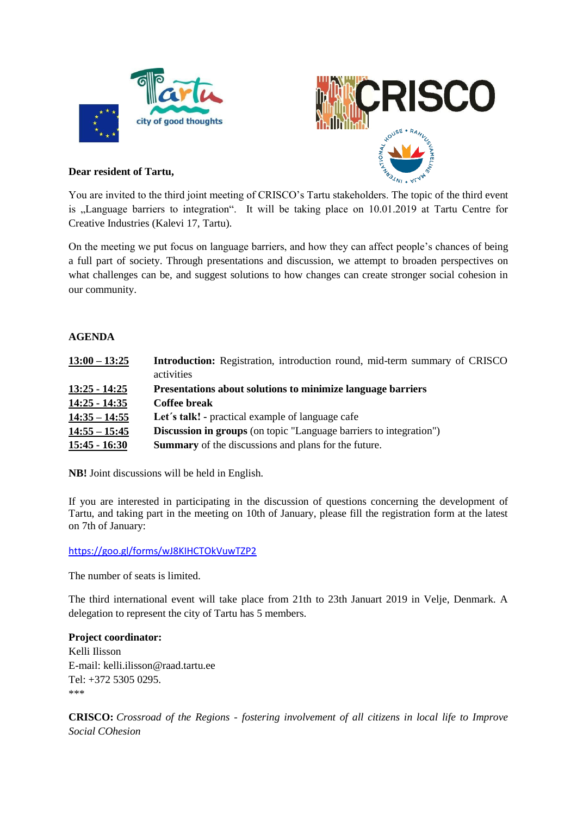



# **Dear resident of Tartu,**

You are invited to the third joint meeting of CRISCO's Tartu stakeholders. The topic of the third event is "Language barriers to integration". It will be taking place on 10.01.2019 at Tartu Centre for Creative Industries (Kalevi 17, Tartu).

On the meeting we put focus on language barriers, and how they can affect people's chances of being a full part of society. Through presentations and discussion, we attempt to broaden perspectives on what challenges can be, and suggest solutions to how changes can create stronger social cohesion in our community.

## **AGENDA**

| $13:00 - 13:25$ | <b>Introduction:</b> Registration, introduction round, mid-term summary of CRISCO |
|-----------------|-----------------------------------------------------------------------------------|
|                 | activities                                                                        |
| $13:25 - 14:25$ | Presentations about solutions to minimize language barriers                       |
| $14:25 - 14:35$ | Coffee break                                                                      |
| $14:35 - 14:55$ | Let's talk! - practical example of language cafe                                  |
| $14:55 - 15:45$ | <b>Discussion in groups</b> (on topic "Language barriers to integration")         |
| $15:45 - 16:30$ | <b>Summary</b> of the discussions and plans for the future.                       |

**NB!** Joint discussions will be held in English.

If you are interested in participating in the discussion of questions concerning the development of Tartu, and taking part in the meeting on 10th of January, please fill the registration form at the latest on 7th of January:

#### <https://goo.gl/forms/wJ8KIHCTOkVuwTZP2>

The number of seats is limited.

The third international event will take place from 21th to 23th Januart 2019 in Velje, Denmark. A delegation to represent the city of Tartu has 5 members.

### **Project coordinator:**

Kelli Ilisson E-mail: kelli.ilisson@raad.tartu.ee Tel: +372 5305 0295. \*\*\*

**CRISCO:** *Crossroad of the Regions - fostering involvement of all citizens in local life to Improve Social COhesion*